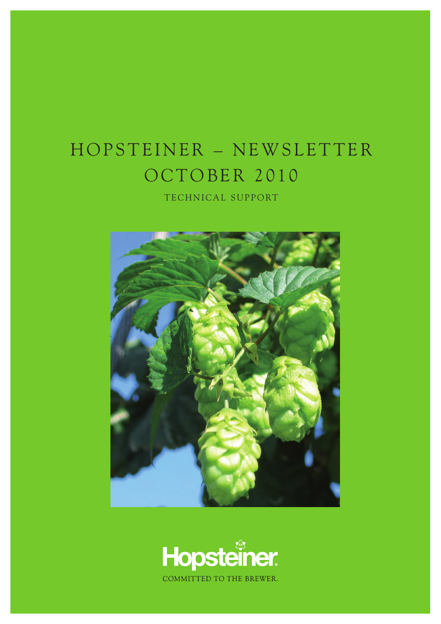## HOPSTEINER - NEWSLETTER OCTOBER 2010

TECHNICAL SUPPORT